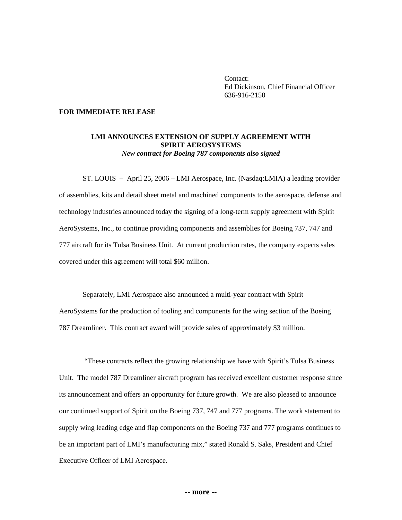Contact: Ed Dickinson, Chief Financial Officer 636-916-2150

## **FOR IMMEDIATE RELEASE**

## **LMI ANNOUNCES EXTENSION OF SUPPLY AGREEMENT WITH SPIRIT AEROSYSTEMS**  *New contract for Boeing 787 components also signed*

 ST. LOUIS – April 25, 2006 – LMI Aerospace, Inc. (Nasdaq:LMIA) a leading provider of assemblies, kits and detail sheet metal and machined components to the aerospace, defense and technology industries announced today the signing of a long-term supply agreement with Spirit AeroSystems, Inc., to continue providing components and assemblies for Boeing 737, 747 and 777 aircraft for its Tulsa Business Unit. At current production rates, the company expects sales covered under this agreement will total \$60 million.

 Separately, LMI Aerospace also announced a multi-year contract with Spirit AeroSystems for the production of tooling and components for the wing section of the Boeing 787 Dreamliner. This contract award will provide sales of approximately \$3 million.

 "These contracts reflect the growing relationship we have with Spirit's Tulsa Business Unit. The model 787 Dreamliner aircraft program has received excellent customer response since its announcement and offers an opportunity for future growth. We are also pleased to announce our continued support of Spirit on the Boeing 737, 747 and 777 programs. The work statement to supply wing leading edge and flap components on the Boeing 737 and 777 programs continues to be an important part of LMI's manufacturing mix," stated Ronald S. Saks, President and Chief Executive Officer of LMI Aerospace.